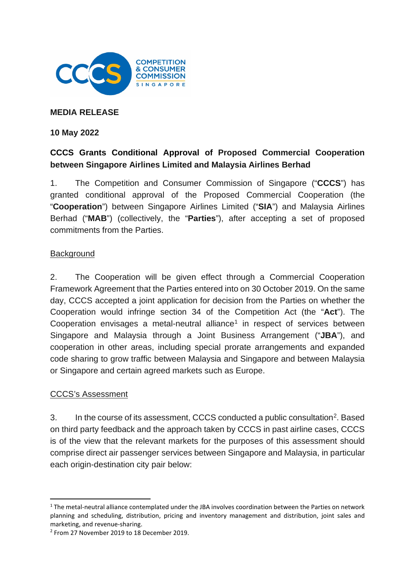

### **MEDIA RELEASE**

#### **10 May 2022**

# **CCCS Grants Conditional Approval of Proposed Commercial Cooperation between Singapore Airlines Limited and Malaysia Airlines Berhad**

1. The Competition and Consumer Commission of Singapore ("**CCCS**") has granted conditional approval of the Proposed Commercial Cooperation (the "**Cooperation**") between Singapore Airlines Limited ("**SIA**") and Malaysia Airlines Berhad ("**MAB**") (collectively, the "**Parties**"), after accepting a set of proposed commitments from the Parties.

#### **Background**

2. The Cooperation will be given effect through a Commercial Cooperation Framework Agreement that the Parties entered into on 30 October 2019. On the same day, CCCS accepted a joint application for decision from the Parties on whether the Cooperation would infringe section 34 of the Competition Act (the "**Act**"). The Cooperation envisages a metal-neutral alliance<sup>[1](#page-0-0)</sup> in respect of services between Singapore and Malaysia through a Joint Business Arrangement ("**JBA**"), and cooperation in other areas, including special prorate arrangements and expanded code sharing to grow traffic between Malaysia and Singapore and between Malaysia or Singapore and certain agreed markets such as Europe.

#### CCCS's Assessment

3. In the course of its assessment, CCCS conducted a public consultation<sup>[2](#page-0-1)</sup>. Based on third party feedback and the approach taken by CCCS in past airline cases, CCCS is of the view that the relevant markets for the purposes of this assessment should comprise direct air passenger services between Singapore and Malaysia, in particular each origin-destination city pair below:

<span id="page-0-0"></span><sup>1</sup> The metal-neutral alliance contemplated under the JBA involves coordination between the Parties on network planning and scheduling, distribution, pricing and inventory management and distribution, joint sales and marketing, and revenue-sharing.

<span id="page-0-1"></span><sup>2</sup> From 27 November 2019 to 18 December 2019.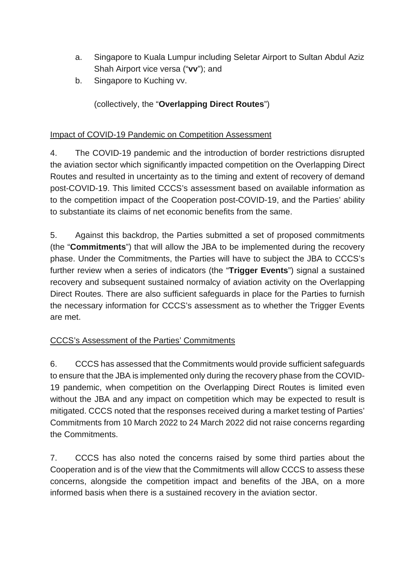- a. Singapore to Kuala Lumpur including Seletar Airport to Sultan Abdul Aziz Shah Airport vice versa ("**vv**"); and
- b. Singapore to Kuching vv.

(collectively, the "**Overlapping Direct Routes**")

## Impact of COVID-19 Pandemic on Competition Assessment

4. The COVID-19 pandemic and the introduction of border restrictions disrupted the aviation sector which significantly impacted competition on the Overlapping Direct Routes and resulted in uncertainty as to the timing and extent of recovery of demand post-COVID-19. This limited CCCS's assessment based on available information as to the competition impact of the Cooperation post-COVID-19, and the Parties' ability to substantiate its claims of net economic benefits from the same.

5. Against this backdrop, the Parties submitted a set of proposed commitments (the "**Commitments**") that will allow the JBA to be implemented during the recovery phase. Under the Commitments, the Parties will have to subject the JBA to CCCS's further review when a series of indicators (the "**Trigger Events**") signal a sustained recovery and subsequent sustained normalcy of aviation activity on the Overlapping Direct Routes. There are also sufficient safeguards in place for the Parties to furnish the necessary information for CCCS's assessment as to whether the Trigger Events are met.

## CCCS's Assessment of the Parties' Commitments

6. CCCS has assessed that the Commitments would provide sufficient safeguards to ensure that the JBA is implemented only during the recovery phase from the COVID-19 pandemic, when competition on the Overlapping Direct Routes is limited even without the JBA and any impact on competition which may be expected to result is mitigated. CCCS noted that the responses received during a market testing of Parties' Commitments from 10 March 2022 to 24 March 2022 did not raise concerns regarding the Commitments.

7. CCCS has also noted the concerns raised by some third parties about the Cooperation and is of the view that the Commitments will allow CCCS to assess these concerns, alongside the competition impact and benefits of the JBA, on a more informed basis when there is a sustained recovery in the aviation sector.